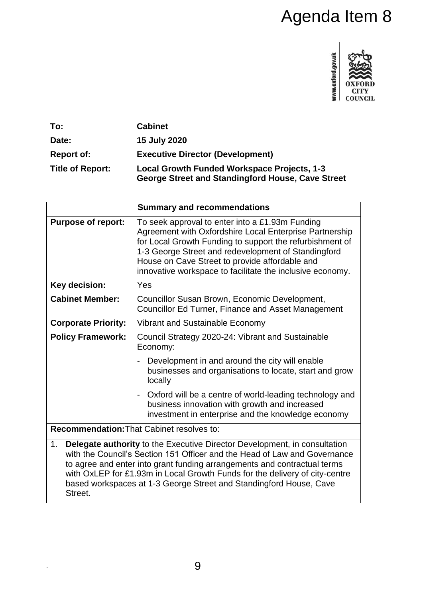# Agenda Item 8



| To:                     | <b>Cabinet</b>                                                                                          |
|-------------------------|---------------------------------------------------------------------------------------------------------|
| Date:                   | 15 July 2020                                                                                            |
| <b>Report of:</b>       | <b>Executive Director (Development)</b>                                                                 |
| <b>Title of Report:</b> | <b>Local Growth Funded Workspace Projects, 1-3</b><br>George Street and Standingford House, Cave Street |

|                                                                                                                                                                                                                                                                                                                                                                                                                 | <b>Summary and recommendations</b>                                                                                                                                                                                                                                                                                                           |  |  |
|-----------------------------------------------------------------------------------------------------------------------------------------------------------------------------------------------------------------------------------------------------------------------------------------------------------------------------------------------------------------------------------------------------------------|----------------------------------------------------------------------------------------------------------------------------------------------------------------------------------------------------------------------------------------------------------------------------------------------------------------------------------------------|--|--|
| <b>Purpose of report:</b>                                                                                                                                                                                                                                                                                                                                                                                       | To seek approval to enter into a £1.93m Funding<br>Agreement with Oxfordshire Local Enterprise Partnership<br>for Local Growth Funding to support the refurbishment of<br>1-3 George Street and redevelopment of Standingford<br>House on Cave Street to provide affordable and<br>innovative workspace to facilitate the inclusive economy. |  |  |
| Key decision:                                                                                                                                                                                                                                                                                                                                                                                                   | Yes                                                                                                                                                                                                                                                                                                                                          |  |  |
| <b>Cabinet Member:</b>                                                                                                                                                                                                                                                                                                                                                                                          | Councillor Susan Brown, Economic Development,<br>Councillor Ed Turner, Finance and Asset Management                                                                                                                                                                                                                                          |  |  |
| <b>Corporate Priority:</b>                                                                                                                                                                                                                                                                                                                                                                                      | Vibrant and Sustainable Economy                                                                                                                                                                                                                                                                                                              |  |  |
| <b>Policy Framework:</b>                                                                                                                                                                                                                                                                                                                                                                                        | Council Strategy 2020-24: Vibrant and Sustainable<br>Economy:                                                                                                                                                                                                                                                                                |  |  |
|                                                                                                                                                                                                                                                                                                                                                                                                                 | Development in and around the city will enable<br>$\blacksquare$<br>businesses and organisations to locate, start and grow<br>locally                                                                                                                                                                                                        |  |  |
|                                                                                                                                                                                                                                                                                                                                                                                                                 | Oxford will be a centre of world-leading technology and<br>$\blacksquare$<br>business innovation with growth and increased<br>investment in enterprise and the knowledge economy                                                                                                                                                             |  |  |
| <b>Recommendation: That Cabinet resolves to:</b>                                                                                                                                                                                                                                                                                                                                                                |                                                                                                                                                                                                                                                                                                                                              |  |  |
| <b>Delegate authority</b> to the Executive Director Development, in consultation<br>1.<br>with the Council's Section 151 Officer and the Head of Law and Governance<br>to agree and enter into grant funding arrangements and contractual terms<br>with OxLEP for £1.93m in Local Growth Funds for the delivery of city-centre<br>based workspaces at 1-3 George Street and Standingford House, Cave<br>Street. |                                                                                                                                                                                                                                                                                                                                              |  |  |

.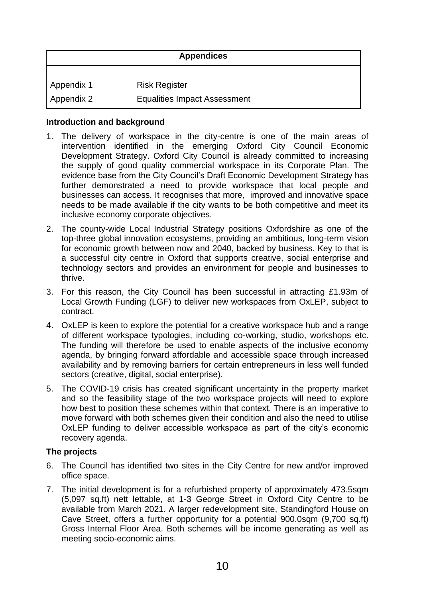| <b>Appendices</b> |                                     |  |
|-------------------|-------------------------------------|--|
| Appendix 1        | <b>Risk Register</b>                |  |
| Appendix 2        | <b>Equalities Impact Assessment</b> |  |

#### **Introduction and background**

- 1. The delivery of workspace in the city-centre is one of the main areas of intervention identified in the emerging Oxford City Council Economic Development Strategy. Oxford City Council is already committed to increasing the supply of good quality commercial workspace in its Corporate Plan. The evidence base from the City Council's Draft Economic Development Strategy has further demonstrated a need to provide workspace that local people and businesses can access. It recognises that more, improved and innovative space needs to be made available if the city wants to be both competitive and meet its inclusive economy corporate objectives.
- 2. The county-wide Local Industrial Strategy positions Oxfordshire as one of the top-three global innovation ecosystems, providing an ambitious, long-term vision for economic growth between now and 2040, backed by business. Key to that is a successful city centre in Oxford that supports creative, social enterprise and technology sectors and provides an environment for people and businesses to thrive.
- 3. For this reason, the City Council has been successful in attracting £1.93m of Local Growth Funding (LGF) to deliver new workspaces from OxLEP, subject to contract.
- 4. OxLEP is keen to explore the potential for a creative workspace hub and a range of different workspace typologies, including co-working, studio, workshops etc. The funding will therefore be used to enable aspects of the inclusive economy agenda, by bringing forward affordable and accessible space through increased availability and by removing barriers for certain entrepreneurs in less well funded sectors (creative, digital, social enterprise).
- 5. The COVID-19 crisis has created significant uncertainty in the property market and so the feasibility stage of the two workspace projects will need to explore how best to position these schemes within that context. There is an imperative to move forward with both schemes given their condition and also the need to utilise OxLEP funding to deliver accessible workspace as part of the city's economic recovery agenda.

#### **The projects**

- 6. The Council has identified two sites in the City Centre for new and/or improved office space.
- 7. The initial development is for a refurbished property of approximately 473.5sqm (5,097 sq.ft) nett lettable, at 1-3 George Street in Oxford City Centre to be available from March 2021. A larger redevelopment site, Standingford House on Cave Street, offers a further opportunity for a potential 900.0sqm (9,700 sq.ft) Gross Internal Floor Area. Both schemes will be income generating as well as meeting socio-economic aims.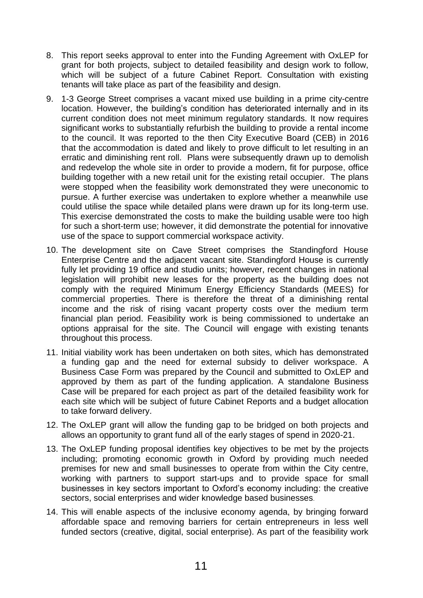- 8. This report seeks approval to enter into the Funding Agreement with OxLEP for grant for both projects, subject to detailed feasibility and design work to follow, which will be subject of a future Cabinet Report. Consultation with existing tenants will take place as part of the feasibility and design.
- 9. 1-3 George Street comprises a vacant mixed use building in a prime city-centre location. However, the building's condition has deteriorated internally and in its current condition does not meet minimum regulatory standards. It now requires significant works to substantially refurbish the building to provide a rental income to the council. It was reported to the then City Executive Board (CEB) in 2016 that the accommodation is dated and likely to prove difficult to let resulting in an erratic and diminishing rent roll. Plans were subsequently drawn up to demolish and redevelop the whole site in order to provide a modern, fit for purpose, office building together with a new retail unit for the existing retail occupier. The plans were stopped when the feasibility work demonstrated they were uneconomic to pursue. A further exercise was undertaken to explore whether a meanwhile use could utilise the space while detailed plans were drawn up for its long-term use. This exercise demonstrated the costs to make the building usable were too high for such a short-term use; however, it did demonstrate the potential for innovative use of the space to support commercial workspace activity.
- 10. The development site on Cave Street comprises the Standingford House Enterprise Centre and the adjacent vacant site. Standingford House is currently fully let providing 19 office and studio units; however, recent changes in national legislation will prohibit new leases for the property as the building does not comply with the required Minimum Energy Efficiency Standards (MEES) for commercial properties. There is therefore the threat of a diminishing rental income and the risk of rising vacant property costs over the medium term financial plan period. Feasibility work is being commissioned to undertake an options appraisal for the site. The Council will engage with existing tenants throughout this process.
- 11. Initial viability work has been undertaken on both sites, which has demonstrated a funding gap and the need for external subsidy to deliver workspace. A Business Case Form was prepared by the Council and submitted to OxLEP and approved by them as part of the funding application. A standalone Business Case will be prepared for each project as part of the detailed feasibility work for each site which will be subject of future Cabinet Reports and a budget allocation to take forward delivery.
- 12. The OxLEP grant will allow the funding gap to be bridged on both projects and allows an opportunity to grant fund all of the early stages of spend in 2020-21.
- 13. The OxLEP funding proposal identifies key objectives to be met by the projects including; promoting economic growth in Oxford by providing much needed premises for new and small businesses to operate from within the City centre, working with partners to support start-ups and to provide space for small businesses in key sectors important to Oxford's economy including: the creative sectors, social enterprises and wider knowledge based businesses.
- 14. This will enable aspects of the inclusive economy agenda, by bringing forward affordable space and removing barriers for certain entrepreneurs in less well funded sectors (creative, digital, social enterprise). As part of the feasibility work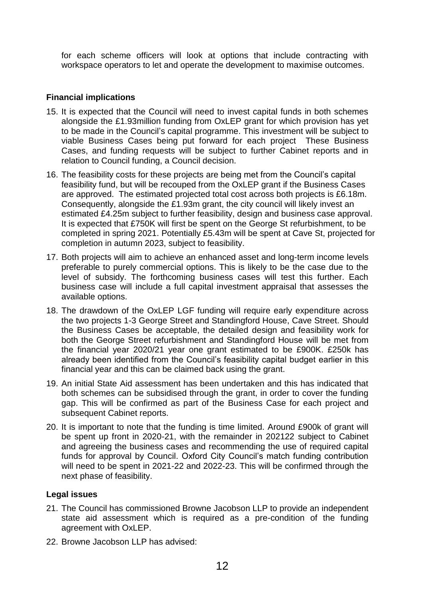for each scheme officers will look at options that include contracting with workspace operators to let and operate the development to maximise outcomes.

#### **Financial implications**

- 15. It is expected that the Council will need to invest capital funds in both schemes alongside the £1.93million funding from OxLEP grant for which provision has yet to be made in the Council's capital programme. This investment will be subject to viable Business Cases being put forward for each project These Business Cases, and funding requests will be subject to further Cabinet reports and in relation to Council funding, a Council decision.
- 16. The feasibility costs for these projects are being met from the Council's capital feasibility fund, but will be recouped from the OxLEP grant if the Business Cases are approved. The estimated projected total cost across both projects is £6.18m. Consequently, alongside the £1.93m grant, the city council will likely invest an estimated £4.25m subject to further feasibility, design and business case approval. It is expected that £750K will first be spent on the George St refurbishment, to be completed in spring 2021. Potentially £5.43m will be spent at Cave St, projected for completion in autumn 2023, subject to feasibility.
- 17. Both projects will aim to achieve an enhanced asset and long-term income levels preferable to purely commercial options. This is likely to be the case due to the level of subsidy. The forthcoming business cases will test this further. Each business case will include a full capital investment appraisal that assesses the available options.
- 18. The drawdown of the OxLEP LGF funding will require early expenditure across the two projects 1-3 George Street and Standingford House, Cave Street. Should the Business Cases be acceptable, the detailed design and feasibility work for both the George Street refurbishment and Standingford House will be met from the financial year 2020/21 year one grant estimated to be £900K. £250k has already been identified from the Council's feasibility capital budget earlier in this financial year and this can be claimed back using the grant.
- 19. An initial State Aid assessment has been undertaken and this has indicated that both schemes can be subsidised through the grant, in order to cover the funding gap. This will be confirmed as part of the Business Case for each project and subsequent Cabinet reports.
- 20. It is important to note that the funding is time limited. Around £900k of grant will be spent up front in 2020-21, with the remainder in 202122 subject to Cabinet and agreeing the business cases and recommending the use of required capital funds for approval by Council. Oxford City Council's match funding contribution will need to be spent in 2021-22 and 2022-23. This will be confirmed through the next phase of feasibility.

## **Legal issues**

- 21. The Council has commissioned Browne Jacobson LLP to provide an independent state aid assessment which is required as a pre-condition of the funding agreement with OxLEP.
- 22. Browne Jacobson LLP has advised: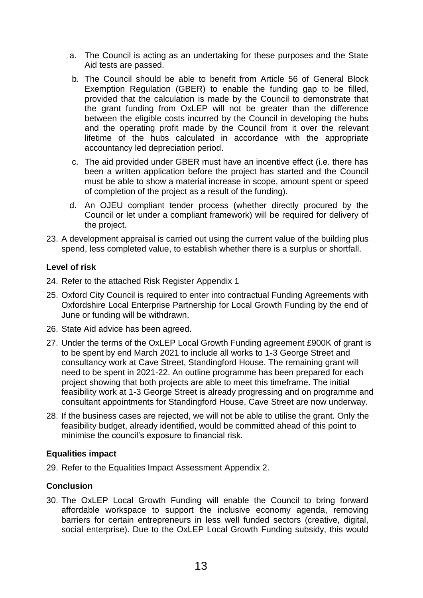- a. The Council is acting as an undertaking for these purposes and the State Aid tests are passed.
- b. The Council should be able to benefit from Article 56 of General Block Exemption Regulation (GBER) to enable the funding gap to be filled, provided that the calculation is made by the Council to demonstrate that the grant funding from OxLEP will not be greater than the difference between the eligible costs incurred by the Council in developing the hubs and the operating profit made by the Council from it over the relevant lifetime of the hubs calculated in accordance with the appropriate accountancy led depreciation period.
- c. The aid provided under GBER must have an incentive effect (i.e. there has been a written application before the project has started and the Council must be able to show a material increase in scope, amount spent or speed of completion of the project as a result of the funding).
- d. An OJEU compliant tender process (whether directly procured by the Council or let under a compliant framework) will be required for delivery of the project.
- 23. A development appraisal is carried out using the current value of the building plus spend, less completed value, to establish whether there is a surplus or shortfall.

## **Level of risk**

- 24. Refer to the attached Risk Register Appendix 1
- 25. Oxford City Council is required to enter into contractual Funding Agreements with Oxfordshire Local Enterprise Partnership for Local Growth Funding by the end of June or funding will be withdrawn.
- 26. State Aid advice has been agreed.
- 27. Under the terms of the OxLEP Local Growth Funding agreement £900K of grant is to be spent by end March 2021 to include all works to 1-3 George Street and consultancy work at Cave Street, Standingford House. The remaining grant will need to be spent in 2021-22. An outline programme has been prepared for each project showing that both projects are able to meet this timeframe. The initial feasibility work at 1-3 George Street is already progressing and on programme and consultant appointments for Standingford House, Cave Street are now underway.
- 28. If the business cases are rejected, we will not be able to utilise the grant. Only the feasibility budget, already identified, would be committed ahead of this point to minimise the council's exposure to financial risk.

## **Equalities impact**

29. Refer to the Equalities Impact Assessment Appendix 2.

## **Conclusion**

30. The OxLEP Local Growth Funding will enable the Council to bring forward affordable workspace to support the inclusive economy agenda, removing barriers for certain entrepreneurs in less well funded sectors (creative, digital, social enterprise). Due to the OxLEP Local Growth Funding subsidy, this would